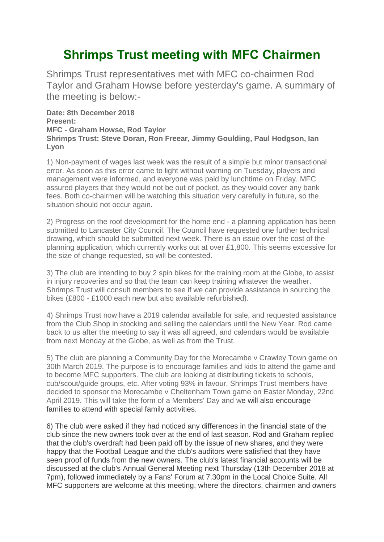## **Shrimps Trust meeting with MFC Chairmen**

Shrimps Trust representatives met with MFC co-chairmen Rod Taylor and Graham Howse before yesterday's game. A summary of the meeting is below:-

**Date: 8th December 2018 Present: MFC - Graham Howse, Rod Taylor Shrimps Trust: Steve Doran, Ron Freear, Jimmy Goulding, Paul Hodgson, Ian Lyon**

1) Non-payment of wages last week was the result of a simple but minor transactional error. As soon as this error came to light without warning on Tuesday, players and management were informed, and everyone was paid by lunchtime on Friday. MFC assured players that they would not be out of pocket, as they would cover any bank fees. Both co-chairmen will be watching this situation very carefully in future, so the situation should not occur again.

2) Progress on the roof development for the home end - a planning application has been submitted to Lancaster City Council. The Council have requested one further technical drawing, which should be submitted next week. There is an issue over the cost of the planning application, which currently works out at over £1,800. This seems excessive for the size of change requested, so will be contested.

3) The club are intending to buy 2 spin bikes for the training room at the Globe, to assist in injury recoveries and so that the team can keep training whatever the weather. Shrimps Trust will consult members to see if we can provide assistance in sourcing the bikes (£800 - £1000 each new but also available refurbished).

4) Shrimps Trust now have a 2019 calendar available for sale, and requested assistance from the Club Shop in stocking and selling the calendars until the New Year. Rod came back to us after the meeting to say it was all agreed, and calendars would be available from next Monday at the Globe, as well as from the Trust.

5) The club are planning a Community Day for the Morecambe v Crawley Town game on 30th March 2019. The purpose is to encourage families and kids to attend the game and to become MFC supporters. The club are looking at distributing tickets to schools, cub/scout/guide groups, etc. After voting 93% in favour, Shrimps Trust members have decided to sponsor the Morecambe v Cheltenham Town game on Easter Monday, 22nd April 2019. This will take the form of a Members' Day and we will also encourage families to attend with special family activities.

6) The club were asked if they had noticed any differences in the financial state of the club since the new owners took over at the end of last season. Rod and Graham replied that the club's overdraft had been paid off by the issue of new shares, and they were happy that the Football League and the club's auditors were satisfied that they have seen proof of funds from the new owners. The club's latest financial accounts will be discussed at the club's Annual General Meeting next Thursday (13th December 2018 at 7pm), followed immediately by a Fans' Forum at 7.30pm in the Local Choice Suite. All MFC supporters are welcome at this meeting, where the directors, chairmen and owners